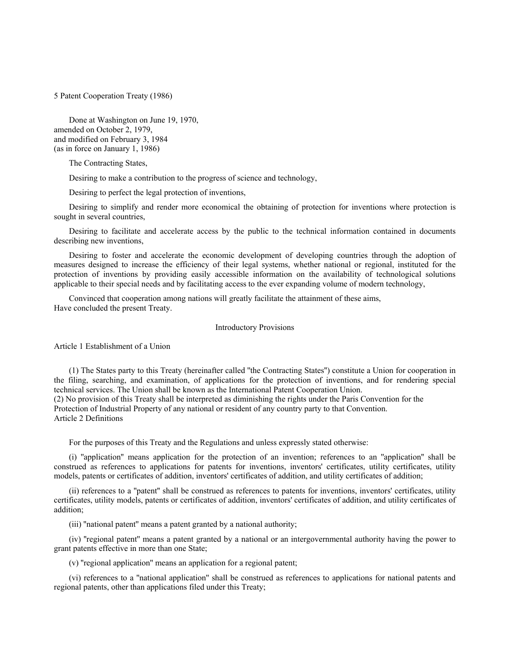5 Patent Cooperation Treaty (1986)

Done at Washington on June 19, 1970, amended on October 2, 1979, and modified on February 3, 1984 (as in force on January 1, 1986)

The Contracting States,

Desiring to make a contribution to the progress of science and technology,

Desiring to perfect the legal protection of inventions,

Desiring to simplify and render more economical the obtaining of protection for inventions where protection is sought in several countries,

Desiring to facilitate and accelerate access by the public to the technical information contained in documents describing new inventions,

Desiring to foster and accelerate the economic development of developing countries through the adoption of measures designed to increase the efficiency of their legal systems, whether national or regional, instituted for the protection of inventions by providing easily accessible information on the availability of technological solutions applicable to their special needs and by facilitating access to the ever expanding volume of modern technology,

Convinced that cooperation among nations will greatly facilitate the attainment of these aims, Have concluded the present Treaty.

## Introductory Provisions

Article 1 Establishment of a Union

(1) The States party to this Treaty (hereinafter called ''the Contracting States'') constitute a Union for cooperation in the filing, searching, and examination, of applications for the protection of inventions, and for rendering special technical services. The Union shall be known as the International Patent Cooperation Union. (2) No provision of this Treaty shall be interpreted as diminishing the rights under the Paris Convention for the Protection of Industrial Property of any national or resident of any country party to that Convention. Article 2 Definitions

For the purposes of this Treaty and the Regulations and unless expressly stated otherwise:

(i) ''application'' means application for the protection of an invention; references to an ''application'' shall be construed as references to applications for patents for inventions, inventors' certificates, utility certificates, utility models, patents or certificates of addition, inventors' certificates of addition, and utility certificates of addition;

(ii) references to a ''patent'' shall be construed as references to patents for inventions, inventors' certificates, utility certificates, utility models, patents or certificates of addition, inventors' certificates of addition, and utility certificates of addition;

(iii) ''national patent'' means a patent granted by a national authority;

(iv) ''regional patent'' means a patent granted by a national or an intergovernmental authority having the power to grant patents effective in more than one State;

(v) ''regional application'' means an application for a regional patent;

(vi) references to a ''national application'' shall be construed as references to applications for national patents and regional patents, other than applications filed under this Treaty;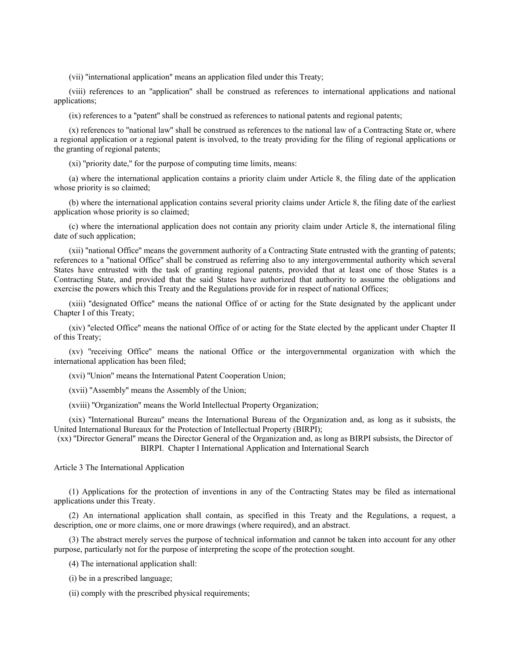(vii) ''international application'' means an application filed under this Treaty;

(viii) references to an ''application'' shall be construed as references to international applications and national applications;

(ix) references to a ''patent'' shall be construed as references to national patents and regional patents;

(x) references to ''national law'' shall be construed as references to the national law of a Contracting State or, where a regional application or a regional patent is involved, to the treaty providing for the filing of regional applications or the granting of regional patents;

(xi) ''priority date,'' for the purpose of computing time limits, means:

(a) where the international application contains a priority claim under Article 8, the filing date of the application whose priority is so claimed;

(b) where the international application contains several priority claims under Article 8, the filing date of the earliest application whose priority is so claimed;

(c) where the international application does not contain any priority claim under Article 8, the international filing date of such application;

(xii) ''national Office'' means the government authority of a Contracting State entrusted with the granting of patents; references to a ''national Office'' shall be construed as referring also to any intergovernmental authority which several States have entrusted with the task of granting regional patents, provided that at least one of those States is a Contracting State, and provided that the said States have authorized that authority to assume the obligations and exercise the powers which this Treaty and the Regulations provide for in respect of national Offices;

(xiii) ''designated Office'' means the national Office of or acting for the State designated by the applicant under Chapter I of this Treaty;

(xiv) ''elected Office'' means the national Office of or acting for the State elected by the applicant under Chapter II of this Treaty;

(xv) ''receiving Office'' means the national Office or the intergovernmental organization with which the international application has been filed;

(xvi) ''Union'' means the International Patent Cooperation Union;

(xvii) ''Assembly'' means the Assembly of the Union;

(xviii) ''Organization'' means the World Intellectual Property Organization;

(xix) ''International Bureau'' means the International Bureau of the Organization and, as long as it subsists, the United International Bureaux for the Protection of Intellectual Property (BIRPI);

(xx) ''Director General'' means the Director General of the Organization and, as long as BIRPI subsists, the Director of BIRPI. Chapter I International Application and International Search

Article 3 The International Application

(1) Applications for the protection of inventions in any of the Contracting States may be filed as international applications under this Treaty.

(2) An international application shall contain, as specified in this Treaty and the Regulations, a request, a description, one or more claims, one or more drawings (where required), and an abstract.

(3) The abstract merely serves the purpose of technical information and cannot be taken into account for any other purpose, particularly not for the purpose of interpreting the scope of the protection sought.

(4) The international application shall:

(i) be in a prescribed language;

(ii) comply with the prescribed physical requirements;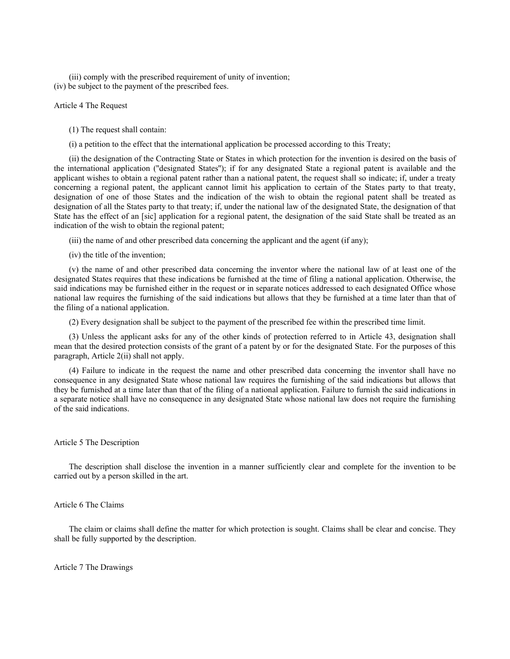(iii) comply with the prescribed requirement of unity of invention; (iv) be subject to the payment of the prescribed fees.

Article 4 The Request

(1) The request shall contain:

(i) a petition to the effect that the international application be processed according to this Treaty;

(ii) the designation of the Contracting State or States in which protection for the invention is desired on the basis of the international application (''designated States''); if for any designated State a regional patent is available and the applicant wishes to obtain a regional patent rather than a national patent, the request shall so indicate; if, under a treaty concerning a regional patent, the applicant cannot limit his application to certain of the States party to that treaty, designation of one of those States and the indication of the wish to obtain the regional patent shall be treated as designation of all the States party to that treaty; if, under the national law of the designated State, the designation of that State has the effect of an [sic] application for a regional patent, the designation of the said State shall be treated as an indication of the wish to obtain the regional patent;

(iii) the name of and other prescribed data concerning the applicant and the agent (if any);

(iv) the title of the invention;

(v) the name of and other prescribed data concerning the inventor where the national law of at least one of the designated States requires that these indications be furnished at the time of filing a national application. Otherwise, the said indications may be furnished either in the request or in separate notices addressed to each designated Office whose national law requires the furnishing of the said indications but allows that they be furnished at a time later than that of the filing of a national application.

(2) Every designation shall be subject to the payment of the prescribed fee within the prescribed time limit.

(3) Unless the applicant asks for any of the other kinds of protection referred to in Article 43, designation shall mean that the desired protection consists of the grant of a patent by or for the designated State. For the purposes of this paragraph, Article 2(ii) shall not apply.

(4) Failure to indicate in the request the name and other prescribed data concerning the inventor shall have no consequence in any designated State whose national law requires the furnishing of the said indications but allows that they be furnished at a time later than that of the filing of a national application. Failure to furnish the said indications in a separate notice shall have no consequence in any designated State whose national law does not require the furnishing of the said indications.

## Article 5 The Description

The description shall disclose the invention in a manner sufficiently clear and complete for the invention to be carried out by a person skilled in the art.

# Article 6 The Claims

The claim or claims shall define the matter for which protection is sought. Claims shall be clear and concise. They shall be fully supported by the description.

Article 7 The Drawings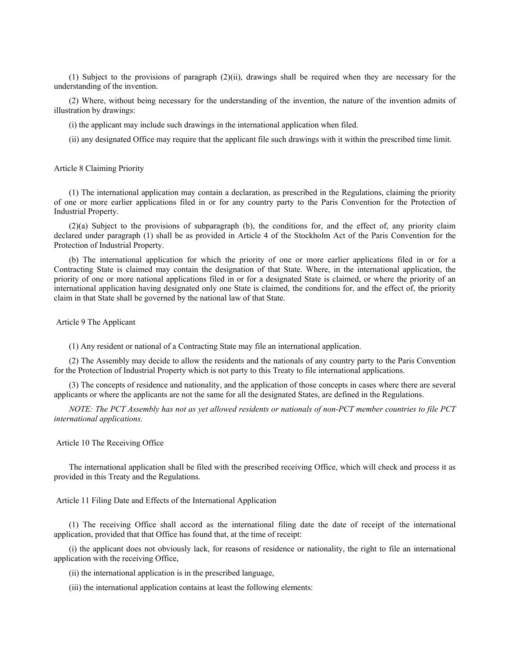(1) Subject to the provisions of paragraph (2)(ii), drawings shall be required when they are necessary for the understanding of the invention.

(2) Where, without being necessary for the understanding of the invention, the nature of the invention admits of illustration by drawings:

(i) the applicant may include such drawings in the international application when filed.

(ii) any designated Office may require that the applicant file such drawings with it within the prescribed time limit.

#### Article 8 Claiming Priority

(1) The international application may contain a declaration, as prescribed in the Regulations, claiming the priority of one or more earlier applications filed in or for any country party to the Paris Convention for the Protection of Industrial Property.

(2)(a) Subject to the provisions of subparagraph (b), the conditions for, and the effect of, any priority claim declared under paragraph (1) shall be as provided in Article 4 of the Stockholm Act of the Paris Convention for the Protection of Industrial Property.

(b) The international application for which the priority of one or more earlier applications filed in or for a Contracting State is claimed may contain the designation of that State. Where, in the international application, the priority of one or more national applications filed in or for a designated State is claimed, or where the priority of an international application having designated only one State is claimed, the conditions for, and the effect of, the priority claim in that State shall be governed by the national law of that State.

## Article 9 The Applicant

(1) Any resident or national of a Contracting State may file an international application.

(2) The Assembly may decide to allow the residents and the nationals of any country party to the Paris Convention for the Protection of Industrial Property which is not party to this Treaty to file international applications.

(3) The concepts of residence and nationality, and the application of those concepts in cases where there are several applicants or where the applicants are not the same for all the designated States, are defined in the Regulations.

*NOTE: The PCT Assembly has not as yet allowed residents or nationals of non-PCT member countries to file PCT international applications.*

## Article 10 The Receiving Office

The international application shall be filed with the prescribed receiving Office, which will check and process it as provided in this Treaty and the Regulations.

Article 11 Filing Date and Effects of the International Application

(1) The receiving Office shall accord as the international filing date the date of receipt of the international application, provided that that Office has found that, at the time of receipt:

(i) the applicant does not obviously lack, for reasons of residence or nationality, the right to file an international application with the receiving Office,

(ii) the international application is in the prescribed language,

(iii) the international application contains at least the following elements: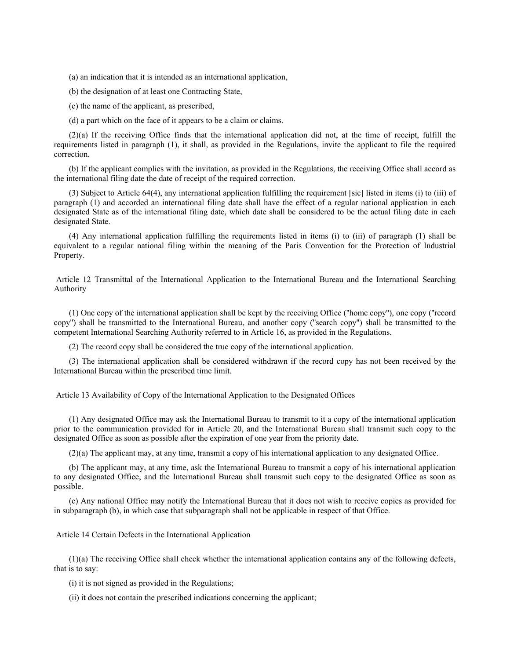(a) an indication that it is intended as an international application,

(b) the designation of at least one Contracting State,

(c) the name of the applicant, as prescribed,

(d) a part which on the face of it appears to be a claim or claims.

(2)(a) If the receiving Office finds that the international application did not, at the time of receipt, fulfill the requirements listed in paragraph (1), it shall, as provided in the Regulations, invite the applicant to file the required correction.

(b) If the applicant complies with the invitation, as provided in the Regulations, the receiving Office shall accord as the international filing date the date of receipt of the required correction.

(3) Subject to Article 64(4), any international application fulfilling the requirement [sic] listed in items (i) to (iii) of paragraph (1) and accorded an international filing date shall have the effect of a regular national application in each designated State as of the international filing date, which date shall be considered to be the actual filing date in each designated State.

(4) Any international application fulfilling the requirements listed in items (i) to (iii) of paragraph (1) shall be equivalent to a regular national filing within the meaning of the Paris Convention for the Protection of Industrial Property.

 Article 12 Transmittal of the International Application to the International Bureau and the International Searching Authority

(1) One copy of the international application shall be kept by the receiving Office (''home copy''), one copy (''record copy'') shall be transmitted to the International Bureau, and another copy (''search copy'') shall be transmitted to the competent International Searching Authority referred to in Article 16, as provided in the Regulations.

(2) The record copy shall be considered the true copy of the international application.

(3) The international application shall be considered withdrawn if the record copy has not been received by the International Bureau within the prescribed time limit.

Article 13 Availability of Copy of the International Application to the Designated Offices

(1) Any designated Office may ask the International Bureau to transmit to it a copy of the international application prior to the communication provided for in Article 20, and the International Bureau shall transmit such copy to the designated Office as soon as possible after the expiration of one year from the priority date.

(2)(a) The applicant may, at any time, transmit a copy of his international application to any designated Office.

(b) The applicant may, at any time, ask the International Bureau to transmit a copy of his international application to any designated Office, and the International Bureau shall transmit such copy to the designated Office as soon as possible.

(c) Any national Office may notify the International Bureau that it does not wish to receive copies as provided for in subparagraph (b), in which case that subparagraph shall not be applicable in respect of that Office.

Article 14 Certain Defects in the International Application

(1)(a) The receiving Office shall check whether the international application contains any of the following defects, that is to say:

(i) it is not signed as provided in the Regulations;

(ii) it does not contain the prescribed indications concerning the applicant;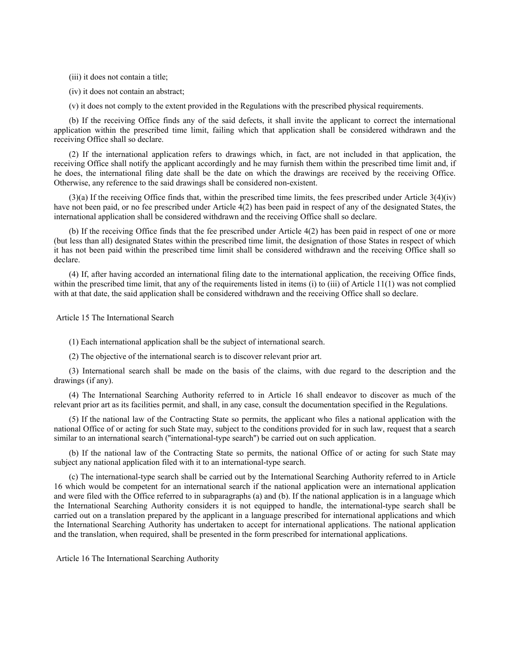(iii) it does not contain a title;

(iv) it does not contain an abstract;

(v) it does not comply to the extent provided in the Regulations with the prescribed physical requirements.

(b) If the receiving Office finds any of the said defects, it shall invite the applicant to correct the international application within the prescribed time limit, failing which that application shall be considered withdrawn and the receiving Office shall so declare.

(2) If the international application refers to drawings which, in fact, are not included in that application, the receiving Office shall notify the applicant accordingly and he may furnish them within the prescribed time limit and, if he does, the international filing date shall be the date on which the drawings are received by the receiving Office. Otherwise, any reference to the said drawings shall be considered non-existent.

 $(3)(a)$  If the receiving Office finds that, within the prescribed time limits, the fees prescribed under Article  $3(4)(iv)$ have not been paid, or no fee prescribed under Article 4(2) has been paid in respect of any of the designated States, the international application shall be considered withdrawn and the receiving Office shall so declare.

(b) If the receiving Office finds that the fee prescribed under Article 4(2) has been paid in respect of one or more (but less than all) designated States within the prescribed time limit, the designation of those States in respect of which it has not been paid within the prescribed time limit shall be considered withdrawn and the receiving Office shall so declare.

(4) If, after having accorded an international filing date to the international application, the receiving Office finds, within the prescribed time limit, that any of the requirements listed in items (i) to (iii) of Article 11(1) was not complied with at that date, the said application shall be considered withdrawn and the receiving Office shall so declare.

Article 15 The International Search

(1) Each international application shall be the subject of international search.

(2) The objective of the international search is to discover relevant prior art.

(3) International search shall be made on the basis of the claims, with due regard to the description and the drawings (if any).

(4) The International Searching Authority referred to in Article 16 shall endeavor to discover as much of the relevant prior art as its facilities permit, and shall, in any case, consult the documentation specified in the Regulations.

(5) If the national law of the Contracting State so permits, the applicant who files a national application with the national Office of or acting for such State may, subject to the conditions provided for in such law, request that a search similar to an international search (''international-type search'') be carried out on such application.

(b) If the national law of the Contracting State so permits, the national Office of or acting for such State may subject any national application filed with it to an international-type search.

(c) The international-type search shall be carried out by the International Searching Authority referred to in Article 16 which would be competent for an international search if the national application were an international application and were filed with the Office referred to in subparagraphs (a) and (b). If the national application is in a language which the International Searching Authority considers it is not equipped to handle, the international-type search shall be carried out on a translation prepared by the applicant in a language prescribed for international applications and which the International Searching Authority has undertaken to accept for international applications. The national application and the translation, when required, shall be presented in the form prescribed for international applications.

Article 16 The International Searching Authority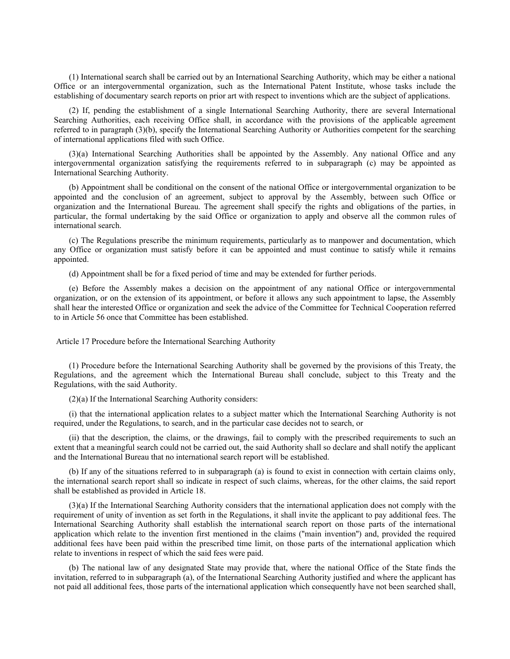(1) International search shall be carried out by an International Searching Authority, which may be either a national Office or an intergovernmental organization, such as the International Patent Institute, whose tasks include the establishing of documentary search reports on prior art with respect to inventions which are the subject of applications.

(2) If, pending the establishment of a single International Searching Authority, there are several International Searching Authorities, each receiving Office shall, in accordance with the provisions of the applicable agreement referred to in paragraph (3)(b), specify the International Searching Authority or Authorities competent for the searching of international applications filed with such Office.

(3)(a) International Searching Authorities shall be appointed by the Assembly. Any national Office and any intergovernmental organization satisfying the requirements referred to in subparagraph (c) may be appointed as International Searching Authority.

(b) Appointment shall be conditional on the consent of the national Office or intergovernmental organization to be appointed and the conclusion of an agreement, subject to approval by the Assembly, between such Office or organization and the International Bureau. The agreement shall specify the rights and obligations of the parties, in particular, the formal undertaking by the said Office or organization to apply and observe all the common rules of international search.

(c) The Regulations prescribe the minimum requirements, particularly as to manpower and documentation, which any Office or organization must satisfy before it can be appointed and must continue to satisfy while it remains appointed.

(d) Appointment shall be for a fixed period of time and may be extended for further periods.

(e) Before the Assembly makes a decision on the appointment of any national Office or intergovernmental organization, or on the extension of its appointment, or before it allows any such appointment to lapse, the Assembly shall hear the interested Office or organization and seek the advice of the Committee for Technical Cooperation referred to in Article 56 once that Committee has been established.

Article 17 Procedure before the International Searching Authority

(1) Procedure before the International Searching Authority shall be governed by the provisions of this Treaty, the Regulations, and the agreement which the International Bureau shall conclude, subject to this Treaty and the Regulations, with the said Authority.

(2)(a) If the International Searching Authority considers:

(i) that the international application relates to a subject matter which the International Searching Authority is not required, under the Regulations, to search, and in the particular case decides not to search, or

(ii) that the description, the claims, or the drawings, fail to comply with the prescribed requirements to such an extent that a meaningful search could not be carried out, the said Authority shall so declare and shall notify the applicant and the International Bureau that no international search report will be established.

(b) If any of the situations referred to in subparagraph (a) is found to exist in connection with certain claims only, the international search report shall so indicate in respect of such claims, whereas, for the other claims, the said report shall be established as provided in Article 18.

(3)(a) If the International Searching Authority considers that the international application does not comply with the requirement of unity of invention as set forth in the Regulations, it shall invite the applicant to pay additional fees. The International Searching Authority shall establish the international search report on those parts of the international application which relate to the invention first mentioned in the claims (''main invention'') and, provided the required additional fees have been paid within the prescribed time limit, on those parts of the international application which relate to inventions in respect of which the said fees were paid.

(b) The national law of any designated State may provide that, where the national Office of the State finds the invitation, referred to in subparagraph (a), of the International Searching Authority justified and where the applicant has not paid all additional fees, those parts of the international application which consequently have not been searched shall,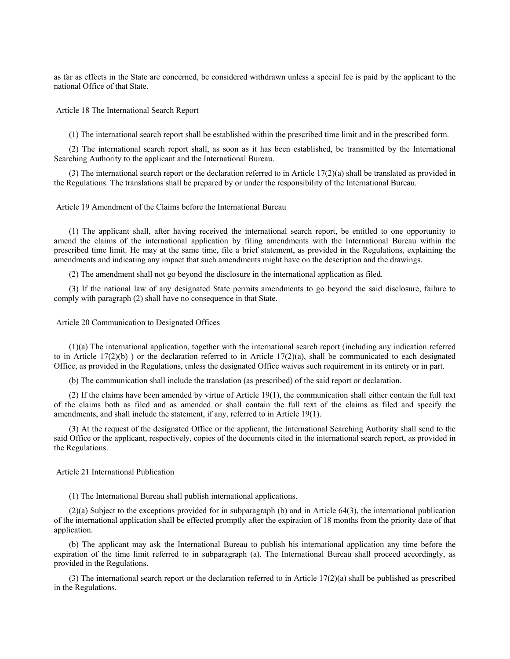as far as effects in the State are concerned, be considered withdrawn unless a special fee is paid by the applicant to the national Office of that State.

Article 18 The International Search Report

(1) The international search report shall be established within the prescribed time limit and in the prescribed form.

(2) The international search report shall, as soon as it has been established, be transmitted by the International Searching Authority to the applicant and the International Bureau.

(3) The international search report or the declaration referred to in Article 17(2)(a) shall be translated as provided in the Regulations. The translations shall be prepared by or under the responsibility of the International Bureau.

Article 19 Amendment of the Claims before the International Bureau

(1) The applicant shall, after having received the international search report, be entitled to one opportunity to amend the claims of the international application by filing amendments with the International Bureau within the prescribed time limit. He may at the same time, file a brief statement, as provided in the Regulations, explaining the amendments and indicating any impact that such amendments might have on the description and the drawings.

(2) The amendment shall not go beyond the disclosure in the international application as filed.

(3) If the national law of any designated State permits amendments to go beyond the said disclosure, failure to comply with paragraph (2) shall have no consequence in that State.

## Article 20 Communication to Designated Offices

(1)(a) The international application, together with the international search report (including any indication referred to in Article  $17(2)(b)$ ) or the declaration referred to in Article  $17(2)(a)$ , shall be communicated to each designated Office, as provided in the Regulations, unless the designated Office waives such requirement in its entirety or in part.

(b) The communication shall include the translation (as prescribed) of the said report or declaration.

(2) If the claims have been amended by virtue of Article 19(1), the communication shall either contain the full text of the claims both as filed and as amended or shall contain the full text of the claims as filed and specify the amendments, and shall include the statement, if any, referred to in Article 19(1).

(3) At the request of the designated Office or the applicant, the International Searching Authority shall send to the said Office or the applicant, respectively, copies of the documents cited in the international search report, as provided in the Regulations.

Article 21 International Publication

(1) The International Bureau shall publish international applications.

(2)(a) Subject to the exceptions provided for in subparagraph (b) and in Article 64(3), the international publication of the international application shall be effected promptly after the expiration of 18 months from the priority date of that application.

(b) The applicant may ask the International Bureau to publish his international application any time before the expiration of the time limit referred to in subparagraph (a). The International Bureau shall proceed accordingly, as provided in the Regulations.

(3) The international search report or the declaration referred to in Article  $17(2)(a)$  shall be published as prescribed in the Regulations.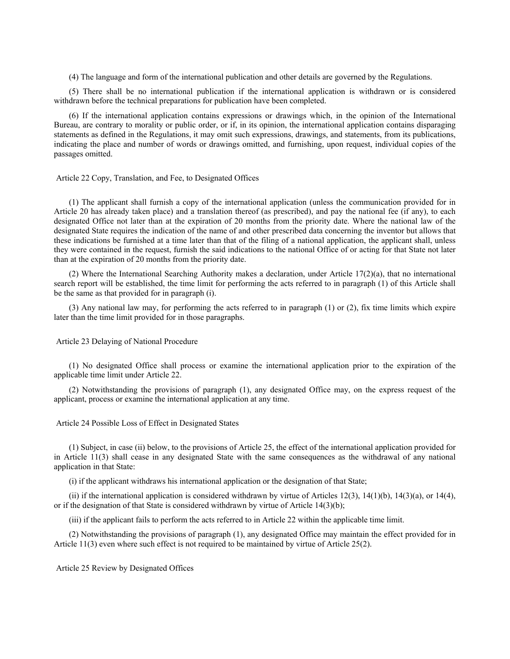(4) The language and form of the international publication and other details are governed by the Regulations.

(5) There shall be no international publication if the international application is withdrawn or is considered withdrawn before the technical preparations for publication have been completed.

(6) If the international application contains expressions or drawings which, in the opinion of the International Bureau, are contrary to morality or public order, or if, in its opinion, the international application contains disparaging statements as defined in the Regulations, it may omit such expressions, drawings, and statements, from its publications, indicating the place and number of words or drawings omitted, and furnishing, upon request, individual copies of the passages omitted.

Article 22 Copy, Translation, and Fee, to Designated Offices

(1) The applicant shall furnish a copy of the international application (unless the communication provided for in Article 20 has already taken place) and a translation thereof (as prescribed), and pay the national fee (if any), to each designated Office not later than at the expiration of 20 months from the priority date. Where the national law of the designated State requires the indication of the name of and other prescribed data concerning the inventor but allows that these indications be furnished at a time later than that of the filing of a national application, the applicant shall, unless they were contained in the request, furnish the said indications to the national Office of or acting for that State not later than at the expiration of 20 months from the priority date.

(2) Where the International Searching Authority makes a declaration, under Article 17(2)(a), that no international search report will be established, the time limit for performing the acts referred to in paragraph (1) of this Article shall be the same as that provided for in paragraph (i).

(3) Any national law may, for performing the acts referred to in paragraph (1) or (2), fix time limits which expire later than the time limit provided for in those paragraphs.

Article 23 Delaying of National Procedure

(1) No designated Office shall process or examine the international application prior to the expiration of the applicable time limit under Article 22.

(2) Notwithstanding the provisions of paragraph (1), any designated Office may, on the express request of the applicant, process or examine the international application at any time.

Article 24 Possible Loss of Effect in Designated States

(1) Subject, in case (ii) below, to the provisions of Article 25, the effect of the international application provided for in Article 11(3) shall cease in any designated State with the same consequences as the withdrawal of any national application in that State:

(i) if the applicant withdraws his international application or the designation of that State;

(ii) if the international application is considered withdrawn by virtue of Articles 12(3), 14(1)(b), 14(3)(a), or 14(4), or if the designation of that State is considered withdrawn by virtue of Article 14(3)(b);

(iii) if the applicant fails to perform the acts referred to in Article 22 within the applicable time limit.

(2) Notwithstanding the provisions of paragraph (1), any designated Office may maintain the effect provided for in Article 11(3) even where such effect is not required to be maintained by virtue of Article 25(2).

Article 25 Review by Designated Offices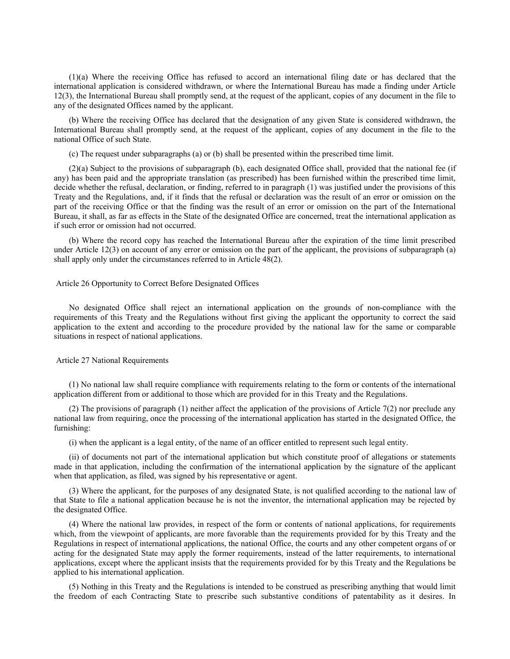(1)(a) Where the receiving Office has refused to accord an international filing date or has declared that the international application is considered withdrawn, or where the International Bureau has made a finding under Article 12(3), the International Bureau shall promptly send, at the request of the applicant, copies of any document in the file to any of the designated Offices named by the applicant.

(b) Where the receiving Office has declared that the designation of any given State is considered withdrawn, the International Bureau shall promptly send, at the request of the applicant, copies of any document in the file to the national Office of such State.

(c) The request under subparagraphs (a) or (b) shall be presented within the prescribed time limit.

(2)(a) Subject to the provisions of subparagraph (b), each designated Office shall, provided that the national fee (if any) has been paid and the appropriate translation (as prescribed) has been furnished within the prescribed time limit, decide whether the refusal, declaration, or finding, referred to in paragraph (1) was justified under the provisions of this Treaty and the Regulations, and, if it finds that the refusal or declaration was the result of an error or omission on the part of the receiving Office or that the finding was the result of an error or omission on the part of the International Bureau, it shall, as far as effects in the State of the designated Office are concerned, treat the international application as if such error or omission had not occurred.

(b) Where the record copy has reached the International Bureau after the expiration of the time limit prescribed under Article 12(3) on account of any error or omission on the part of the applicant, the provisions of subparagraph (a) shall apply only under the circumstances referred to in Article 48(2).

## Article 26 Opportunity to Correct Before Designated Offices

No designated Office shall reject an international application on the grounds of non-compliance with the requirements of this Treaty and the Regulations without first giving the applicant the opportunity to correct the said application to the extent and according to the procedure provided by the national law for the same or comparable situations in respect of national applications.

## Article 27 National Requirements

(1) No national law shall require compliance with requirements relating to the form or contents of the international application different from or additional to those which are provided for in this Treaty and the Regulations.

(2) The provisions of paragraph (1) neither affect the application of the provisions of Article 7(2) nor preclude any national law from requiring, once the processing of the international application has started in the designated Office, the furnishing:

(i) when the applicant is a legal entity, of the name of an officer entitled to represent such legal entity.

(ii) of documents not part of the international application but which constitute proof of allegations or statements made in that application, including the confirmation of the international application by the signature of the applicant when that application, as filed, was signed by his representative or agent.

(3) Where the applicant, for the purposes of any designated State, is not qualified according to the national law of that State to file a national application because he is not the inventor, the international application may be rejected by the designated Office.

(4) Where the national law provides, in respect of the form or contents of national applications, for requirements which, from the viewpoint of applicants, are more favorable than the requirements provided for by this Treaty and the Regulations in respect of international applications, the national Office, the courts and any other competent organs of or acting for the designated State may apply the former requirements, instead of the latter requirements, to international applications, except where the applicant insists that the requirements provided for by this Treaty and the Regulations be applied to his international application.

(5) Nothing in this Treaty and the Regulations is intended to be construed as prescribing anything that would limit the freedom of each Contracting State to prescribe such substantive conditions of patentability as it desires. In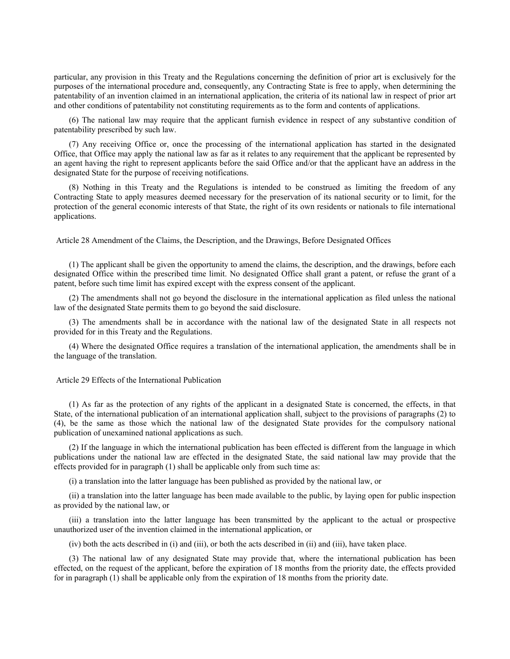particular, any provision in this Treaty and the Regulations concerning the definition of prior art is exclusively for the purposes of the international procedure and, consequently, any Contracting State is free to apply, when determining the patentability of an invention claimed in an international application, the criteria of its national law in respect of prior art and other conditions of patentability not constituting requirements as to the form and contents of applications.

(6) The national law may require that the applicant furnish evidence in respect of any substantive condition of patentability prescribed by such law.

(7) Any receiving Office or, once the processing of the international application has started in the designated Office, that Office may apply the national law as far as it relates to any requirement that the applicant be represented by an agent having the right to represent applicants before the said Office and/or that the applicant have an address in the designated State for the purpose of receiving notifications.

(8) Nothing in this Treaty and the Regulations is intended to be construed as limiting the freedom of any Contracting State to apply measures deemed necessary for the preservation of its national security or to limit, for the protection of the general economic interests of that State, the right of its own residents or nationals to file international applications.

Article 28 Amendment of the Claims, the Description, and the Drawings, Before Designated Offices

(1) The applicant shall be given the opportunity to amend the claims, the description, and the drawings, before each designated Office within the prescribed time limit. No designated Office shall grant a patent, or refuse the grant of a patent, before such time limit has expired except with the express consent of the applicant.

(2) The amendments shall not go beyond the disclosure in the international application as filed unless the national law of the designated State permits them to go beyond the said disclosure.

(3) The amendments shall be in accordance with the national law of the designated State in all respects not provided for in this Treaty and the Regulations.

(4) Where the designated Office requires a translation of the international application, the amendments shall be in the language of the translation.

# Article 29 Effects of the International Publication

(1) As far as the protection of any rights of the applicant in a designated State is concerned, the effects, in that State, of the international publication of an international application shall, subject to the provisions of paragraphs (2) to (4), be the same as those which the national law of the designated State provides for the compulsory national publication of unexamined national applications as such.

(2) If the language in which the international publication has been effected is different from the language in which publications under the national law are effected in the designated State, the said national law may provide that the effects provided for in paragraph (1) shall be applicable only from such time as:

(i) a translation into the latter language has been published as provided by the national law, or

(ii) a translation into the latter language has been made available to the public, by laying open for public inspection as provided by the national law, or

(iii) a translation into the latter language has been transmitted by the applicant to the actual or prospective unauthorized user of the invention claimed in the international application, or

(iv) both the acts described in (i) and (iii), or both the acts described in (ii) and (iii), have taken place.

(3) The national law of any designated State may provide that, where the international publication has been effected, on the request of the applicant, before the expiration of 18 months from the priority date, the effects provided for in paragraph (1) shall be applicable only from the expiration of 18 months from the priority date.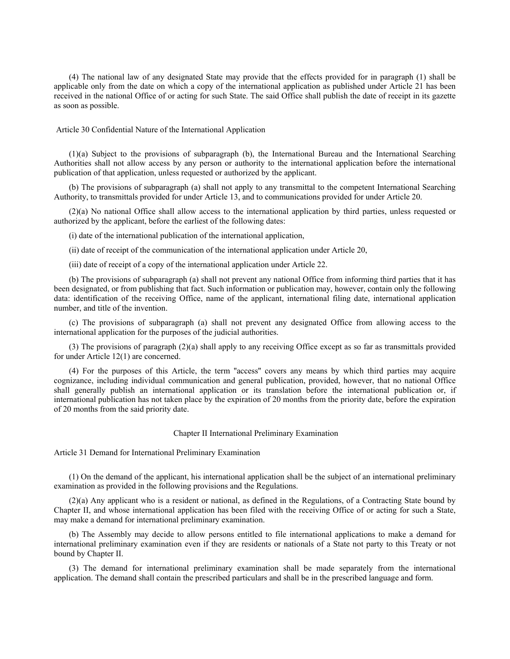(4) The national law of any designated State may provide that the effects provided for in paragraph (1) shall be applicable only from the date on which a copy of the international application as published under Article 21 has been received in the national Office of or acting for such State. The said Office shall publish the date of receipt in its gazette as soon as possible.

Article 30 Confidential Nature of the International Application

(1)(a) Subject to the provisions of subparagraph (b), the International Bureau and the International Searching Authorities shall not allow access by any person or authority to the international application before the international publication of that application, unless requested or authorized by the applicant.

(b) The provisions of subparagraph (a) shall not apply to any transmittal to the competent International Searching Authority, to transmittals provided for under Article 13, and to communications provided for under Article 20.

(2)(a) No national Office shall allow access to the international application by third parties, unless requested or authorized by the applicant, before the earliest of the following dates:

(i) date of the international publication of the international application,

(ii) date of receipt of the communication of the international application under Article 20,

(iii) date of receipt of a copy of the international application under Article 22.

(b) The provisions of subparagraph (a) shall not prevent any national Office from informing third parties that it has been designated, or from publishing that fact. Such information or publication may, however, contain only the following data: identification of the receiving Office, name of the applicant, international filing date, international application number, and title of the invention.

(c) The provisions of subparagraph (a) shall not prevent any designated Office from allowing access to the international application for the purposes of the judicial authorities.

(3) The provisions of paragraph (2)(a) shall apply to any receiving Office except as so far as transmittals provided for under Article 12(1) are concerned.

(4) For the purposes of this Article, the term ''access'' covers any means by which third parties may acquire cognizance, including individual communication and general publication, provided, however, that no national Office shall generally publish an international application or its translation before the international publication or, if international publication has not taken place by the expiration of 20 months from the priority date, before the expiration of 20 months from the said priority date.

#### Chapter II International Preliminary Examination

Article 31 Demand for International Preliminary Examination

(1) On the demand of the applicant, his international application shall be the subject of an international preliminary examination as provided in the following provisions and the Regulations.

(2)(a) Any applicant who is a resident or national, as defined in the Regulations, of a Contracting State bound by Chapter II, and whose international application has been filed with the receiving Office of or acting for such a State, may make a demand for international preliminary examination.

(b) The Assembly may decide to allow persons entitled to file international applications to make a demand for international preliminary examination even if they are residents or nationals of a State not party to this Treaty or not bound by Chapter II.

(3) The demand for international preliminary examination shall be made separately from the international application. The demand shall contain the prescribed particulars and shall be in the prescribed language and form.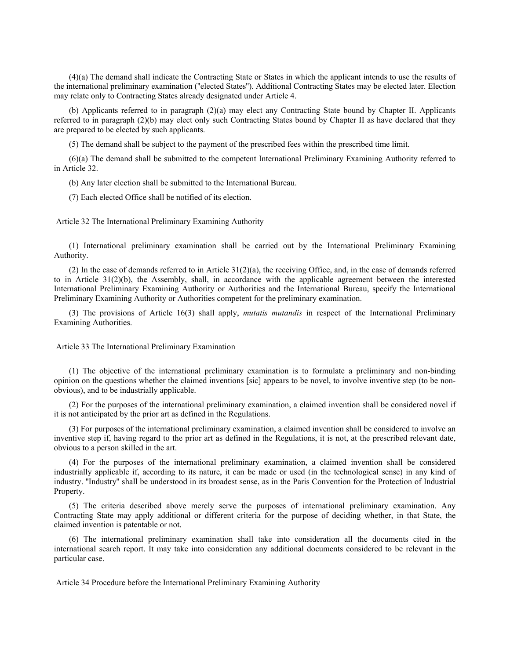(4)(a) The demand shall indicate the Contracting State or States in which the applicant intends to use the results of the international preliminary examination (''elected States''). Additional Contracting States may be elected later. Election may relate only to Contracting States already designated under Article 4.

(b) Applicants referred to in paragraph (2)(a) may elect any Contracting State bound by Chapter II. Applicants referred to in paragraph (2)(b) may elect only such Contracting States bound by Chapter II as have declared that they are prepared to be elected by such applicants.

(5) The demand shall be subject to the payment of the prescribed fees within the prescribed time limit.

(6)(a) The demand shall be submitted to the competent International Preliminary Examining Authority referred to in Article 32.

(b) Any later election shall be submitted to the International Bureau.

(7) Each elected Office shall be notified of its election.

Article 32 The International Preliminary Examining Authority

(1) International preliminary examination shall be carried out by the International Preliminary Examining Authority.

(2) In the case of demands referred to in Article 31(2)(a), the receiving Office, and, in the case of demands referred to in Article 31(2)(b), the Assembly, shall, in accordance with the applicable agreement between the interested International Preliminary Examining Authority or Authorities and the International Bureau, specify the International Preliminary Examining Authority or Authorities competent for the preliminary examination.

(3) The provisions of Article 16(3) shall apply, *mutatis mutandis* in respect of the International Preliminary Examining Authorities.

Article 33 The International Preliminary Examination

(1) The objective of the international preliminary examination is to formulate a preliminary and non-binding opinion on the questions whether the claimed inventions [sic] appears to be novel, to involve inventive step (to be nonobvious), and to be industrially applicable.

(2) For the purposes of the international preliminary examination, a claimed invention shall be considered novel if it is not anticipated by the prior art as defined in the Regulations.

(3) For purposes of the international preliminary examination, a claimed invention shall be considered to involve an inventive step if, having regard to the prior art as defined in the Regulations, it is not, at the prescribed relevant date, obvious to a person skilled in the art.

(4) For the purposes of the international preliminary examination, a claimed invention shall be considered industrially applicable if, according to its nature, it can be made or used (in the technological sense) in any kind of industry. ''Industry'' shall be understood in its broadest sense, as in the Paris Convention for the Protection of Industrial Property.

(5) The criteria described above merely serve the purposes of international preliminary examination. Any Contracting State may apply additional or different criteria for the purpose of deciding whether, in that State, the claimed invention is patentable or not.

(6) The international preliminary examination shall take into consideration all the documents cited in the international search report. It may take into consideration any additional documents considered to be relevant in the particular case.

Article 34 Procedure before the International Preliminary Examining Authority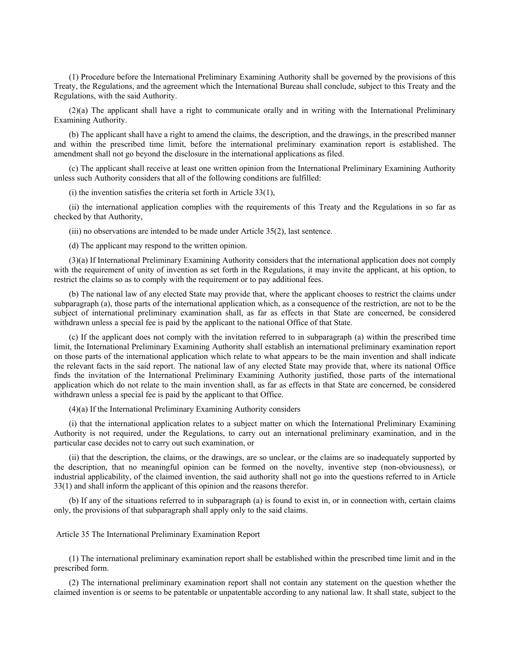(1) Procedure before the International Preliminary Examining Authority shall be governed by the provisions of this Treaty, the Regulations, and the agreement which the International Bureau shall conclude, subject to this Treaty and the Regulations, with the said Authority.

(2)(a) The applicant shall have a right to communicate orally and in writing with the International Preliminary Examining Authority.

(b) The applicant shall have a right to amend the claims, the description, and the drawings, in the prescribed manner and within the prescribed time limit, before the international preliminary examination report is established. The amendment shall not go beyond the disclosure in the international applications as filed.

(c) The applicant shall receive at least one written opinion from the International Preliminary Examining Authority unless such Authority considers that all of the following conditions are fulfilled:

(i) the invention satisfies the criteria set forth in Article 33(1),

(ii) the international application complies with the requirements of this Treaty and the Regulations in so far as checked by that Authority,

(iii) no observations are intended to be made under Article 35(2), last sentence.

(d) The applicant may respond to the written opinion.

(3)(a) If International Preliminary Examining Authority considers that the international application does not comply with the requirement of unity of invention as set forth in the Regulations, it may invite the applicant, at his option, to restrict the claims so as to comply with the requirement or to pay additional fees.

(b) The national law of any elected State may provide that, where the applicant chooses to restrict the claims under subparagraph (a), those parts of the international application which, as a consequence of the restriction, are not to be the subject of international preliminary examination shall, as far as effects in that State are concerned, be considered withdrawn unless a special fee is paid by the applicant to the national Office of that State.

(c) If the applicant does not comply with the invitation referred to in subparagraph (a) within the prescribed time limit, the International Preliminary Examining Authority shall establish an international preliminary examination report on those parts of the international application which relate to what appears to be the main invention and shall indicate the relevant facts in the said report. The national law of any elected State may provide that, where its national Office finds the invitation of the International Preliminary Examining Authority justified, those parts of the international application which do not relate to the main invention shall, as far as effects in that State are concerned, be considered withdrawn unless a special fee is paid by the applicant to that Office.

(4)(a) If the International Preliminary Examining Authority considers

(i) that the international application relates to a subject matter on which the International Preliminary Examining Authority is not required, under the Regulations, to carry out an international preliminary examination, and in the particular case decides not to carry out such examination, or

(ii) that the description, the claims, or the drawings, are so unclear, or the claims are so inadequately supported by the description, that no meaningful opinion can be formed on the novelty, inventive step (non-obviousness), or industrial applicability, of the claimed invention, the said authority shall not go into the questions referred to in Article 33(1) and shall inform the applicant of this opinion and the reasons therefor.

(b) If any of the situations referred to in subparagraph (a) is found to exist in, or in connection with, certain claims only, the provisions of that subparagraph shall apply only to the said claims.

Article 35 The International Preliminary Examination Report

(1) The international preliminary examination report shall be established within the prescribed time limit and in the prescribed form.

(2) The international preliminary examination report shall not contain any statement on the question whether the claimed invention is or seems to be patentable or unpatentable according to any national law. It shall state, subject to the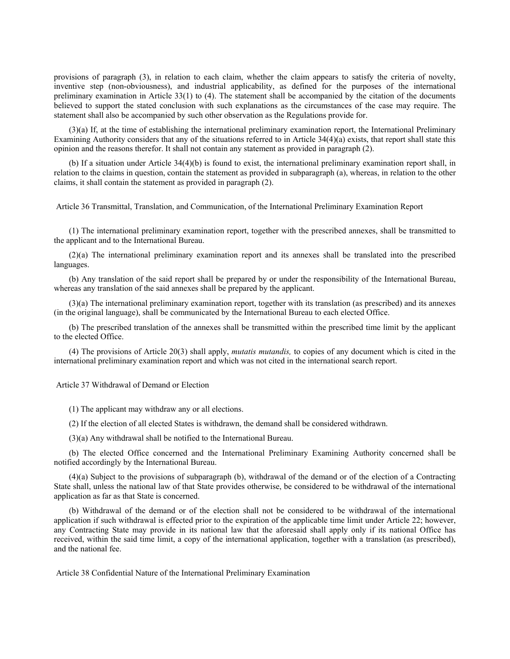provisions of paragraph (3), in relation to each claim, whether the claim appears to satisfy the criteria of novelty, inventive step (non-obviousness), and industrial applicability, as defined for the purposes of the international preliminary examination in Article 33(1) to (4). The statement shall be accompanied by the citation of the documents believed to support the stated conclusion with such explanations as the circumstances of the case may require. The statement shall also be accompanied by such other observation as the Regulations provide for.

(3)(a) If, at the time of establishing the international preliminary examination report, the International Preliminary Examining Authority considers that any of the situations referred to in Article 34(4)(a) exists, that report shall state this opinion and the reasons therefor. It shall not contain any statement as provided in paragraph (2).

(b) If a situation under Article 34(4)(b) is found to exist, the international preliminary examination report shall, in relation to the claims in question, contain the statement as provided in subparagraph (a), whereas, in relation to the other claims, it shall contain the statement as provided in paragraph (2).

Article 36 Transmittal, Translation, and Communication, of the International Preliminary Examination Report

(1) The international preliminary examination report, together with the prescribed annexes, shall be transmitted to the applicant and to the International Bureau.

(2)(a) The international preliminary examination report and its annexes shall be translated into the prescribed languages.

(b) Any translation of the said report shall be prepared by or under the responsibility of the International Bureau, whereas any translation of the said annexes shall be prepared by the applicant.

(3)(a) The international preliminary examination report, together with its translation (as prescribed) and its annexes (in the original language), shall be communicated by the International Bureau to each elected Office.

(b) The prescribed translation of the annexes shall be transmitted within the prescribed time limit by the applicant to the elected Office.

(4) The provisions of Article 20(3) shall apply, *mutatis mutandis,* to copies of any document which is cited in the international preliminary examination report and which was not cited in the international search report.

Article 37 Withdrawal of Demand or Election

(1) The applicant may withdraw any or all elections.

(2) If the election of all elected States is withdrawn, the demand shall be considered withdrawn.

(3)(a) Any withdrawal shall be notified to the International Bureau.

(b) The elected Office concerned and the International Preliminary Examining Authority concerned shall be notified accordingly by the International Bureau.

(4)(a) Subject to the provisions of subparagraph (b), withdrawal of the demand or of the election of a Contracting State shall, unless the national law of that State provides otherwise, be considered to be withdrawal of the international application as far as that State is concerned.

(b) Withdrawal of the demand or of the election shall not be considered to be withdrawal of the international application if such withdrawal is effected prior to the expiration of the applicable time limit under Article 22; however, any Contracting State may provide in its national law that the aforesaid shall apply only if its national Office has received, within the said time limit, a copy of the international application, together with a translation (as prescribed), and the national fee.

Article 38 Confidential Nature of the International Preliminary Examination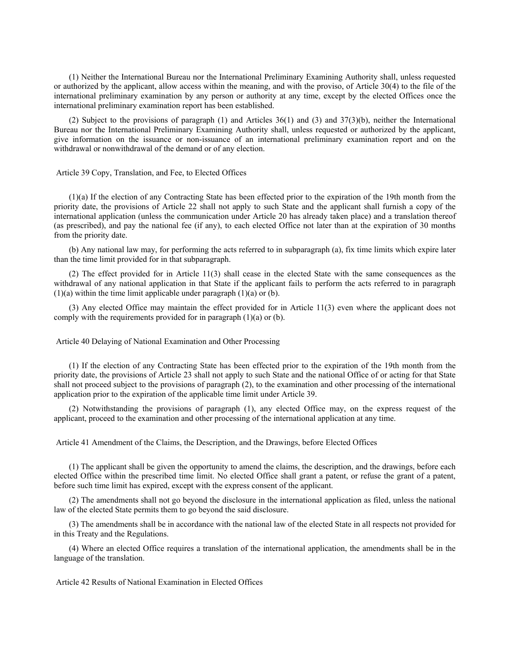(1) Neither the International Bureau nor the International Preliminary Examining Authority shall, unless requested or authorized by the applicant, allow access within the meaning, and with the proviso, of Article 30(4) to the file of the international preliminary examination by any person or authority at any time, except by the elected Offices once the international preliminary examination report has been established.

(2) Subject to the provisions of paragraph (1) and Articles 36(1) and (3) and 37(3)(b), neither the International Bureau nor the International Preliminary Examining Authority shall, unless requested or authorized by the applicant, give information on the issuance or non-issuance of an international preliminary examination report and on the withdrawal or nonwithdrawal of the demand or of any election.

Article 39 Copy, Translation, and Fee, to Elected Offices

(1)(a) If the election of any Contracting State has been effected prior to the expiration of the 19th month from the priority date, the provisions of Article 22 shall not apply to such State and the applicant shall furnish a copy of the international application (unless the communication under Article 20 has already taken place) and a translation thereof (as prescribed), and pay the national fee (if any), to each elected Office not later than at the expiration of 30 months from the priority date.

(b) Any national law may, for performing the acts referred to in subparagraph (a), fix time limits which expire later than the time limit provided for in that subparagraph.

(2) The effect provided for in Article 11(3) shall cease in the elected State with the same consequences as the withdrawal of any national application in that State if the applicant fails to perform the acts referred to in paragraph  $(1)(a)$  within the time limit applicable under paragraph  $(1)(a)$  or  $(b)$ .

(3) Any elected Office may maintain the effect provided for in Article 11(3) even where the applicant does not comply with the requirements provided for in paragraph (1)(a) or (b).

Article 40 Delaying of National Examination and Other Processing

(1) If the election of any Contracting State has been effected prior to the expiration of the 19th month from the priority date, the provisions of Article 23 shall not apply to such State and the national Office of or acting for that State shall not proceed subject to the provisions of paragraph (2), to the examination and other processing of the international application prior to the expiration of the applicable time limit under Article 39.

(2) Notwithstanding the provisions of paragraph (1), any elected Office may, on the express request of the applicant, proceed to the examination and other processing of the international application at any time.

Article 41 Amendment of the Claims, the Description, and the Drawings, before Elected Offices

(1) The applicant shall be given the opportunity to amend the claims, the description, and the drawings, before each elected Office within the prescribed time limit. No elected Office shall grant a patent, or refuse the grant of a patent, before such time limit has expired, except with the express consent of the applicant.

(2) The amendments shall not go beyond the disclosure in the international application as filed, unless the national law of the elected State permits them to go beyond the said disclosure.

(3) The amendments shall be in accordance with the national law of the elected State in all respects not provided for in this Treaty and the Regulations.

(4) Where an elected Office requires a translation of the international application, the amendments shall be in the language of the translation.

Article 42 Results of National Examination in Elected Offices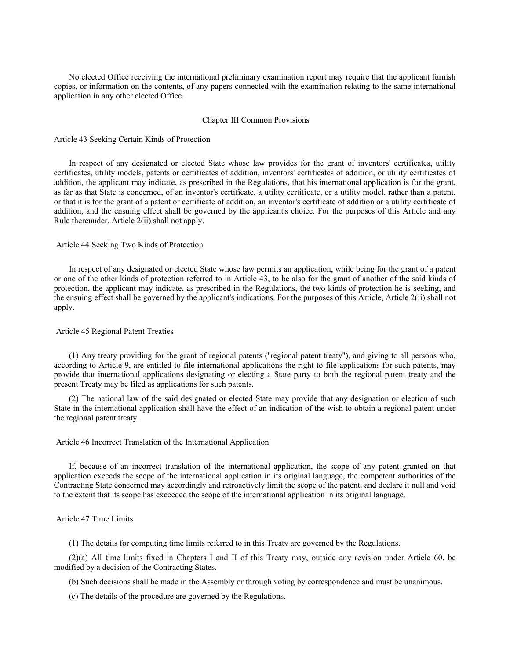No elected Office receiving the international preliminary examination report may require that the applicant furnish copies, or information on the contents, of any papers connected with the examination relating to the same international application in any other elected Office.

#### Chapter III Common Provisions

#### Article 43 Seeking Certain Kinds of Protection

In respect of any designated or elected State whose law provides for the grant of inventors' certificates, utility certificates, utility models, patents or certificates of addition, inventors' certificates of addition, or utility certificates of addition, the applicant may indicate, as prescribed in the Regulations, that his international application is for the grant, as far as that State is concerned, of an inventor's certificate, a utility certificate, or a utility model, rather than a patent, or that it is for the grant of a patent or certificate of addition, an inventor's certificate of addition or a utility certificate of addition, and the ensuing effect shall be governed by the applicant's choice. For the purposes of this Article and any Rule thereunder, Article 2(ii) shall not apply.

## Article 44 Seeking Two Kinds of Protection

In respect of any designated or elected State whose law permits an application, while being for the grant of a patent or one of the other kinds of protection referred to in Article 43, to be also for the grant of another of the said kinds of protection, the applicant may indicate, as prescribed in the Regulations, the two kinds of protection he is seeking, and the ensuing effect shall be governed by the applicant's indications. For the purposes of this Article, Article 2(ii) shall not apply.

#### Article 45 Regional Patent Treaties

(1) Any treaty providing for the grant of regional patents (''regional patent treaty''), and giving to all persons who, according to Article 9, are entitled to file international applications the right to file applications for such patents, may provide that international applications designating or electing a State party to both the regional patent treaty and the present Treaty may be filed as applications for such patents.

(2) The national law of the said designated or elected State may provide that any designation or election of such State in the international application shall have the effect of an indication of the wish to obtain a regional patent under the regional patent treaty.

## Article 46 Incorrect Translation of the International Application

If, because of an incorrect translation of the international application, the scope of any patent granted on that application exceeds the scope of the international application in its original language, the competent authorities of the Contracting State concerned may accordingly and retroactively limit the scope of the patent, and declare it null and void to the extent that its scope has exceeded the scope of the international application in its original language.

#### Article 47 Time Limits

(1) The details for computing time limits referred to in this Treaty are governed by the Regulations.

(2)(a) All time limits fixed in Chapters I and II of this Treaty may, outside any revision under Article 60, be modified by a decision of the Contracting States.

(b) Such decisions shall be made in the Assembly or through voting by correspondence and must be unanimous.

(c) The details of the procedure are governed by the Regulations.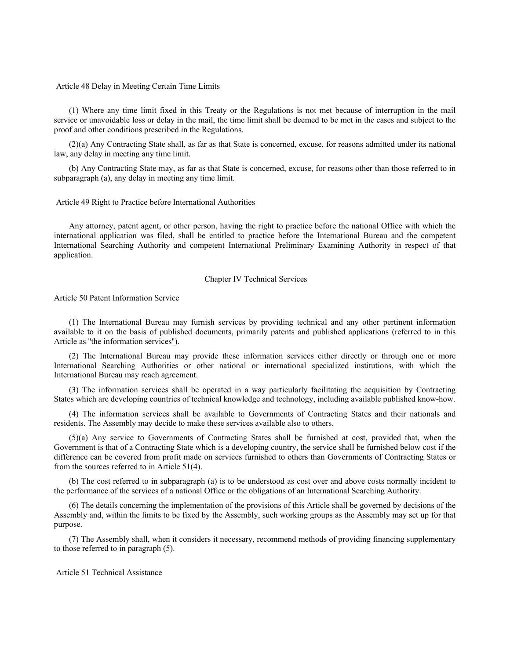# Article 48 Delay in Meeting Certain Time Limits

(1) Where any time limit fixed in this Treaty or the Regulations is not met because of interruption in the mail service or unavoidable loss or delay in the mail, the time limit shall be deemed to be met in the cases and subject to the proof and other conditions prescribed in the Regulations.

(2)(a) Any Contracting State shall, as far as that State is concerned, excuse, for reasons admitted under its national law, any delay in meeting any time limit.

(b) Any Contracting State may, as far as that State is concerned, excuse, for reasons other than those referred to in subparagraph (a), any delay in meeting any time limit.

#### Article 49 Right to Practice before International Authorities

Any attorney, patent agent, or other person, having the right to practice before the national Office with which the international application was filed, shall be entitled to practice before the International Bureau and the competent International Searching Authority and competent International Preliminary Examining Authority in respect of that application.

#### Chapter IV Technical Services

Article 50 Patent Information Service

(1) The International Bureau may furnish services by providing technical and any other pertinent information available to it on the basis of published documents, primarily patents and published applications (referred to in this Article as ''the information services'').

(2) The International Bureau may provide these information services either directly or through one or more International Searching Authorities or other national or international specialized institutions, with which the International Bureau may reach agreement.

(3) The information services shall be operated in a way particularly facilitating the acquisition by Contracting States which are developing countries of technical knowledge and technology, including available published know-how.

(4) The information services shall be available to Governments of Contracting States and their nationals and residents. The Assembly may decide to make these services available also to others.

(5)(a) Any service to Governments of Contracting States shall be furnished at cost, provided that, when the Government is that of a Contracting State which is a developing country, the service shall be furnished below cost if the difference can be covered from profit made on services furnished to others than Governments of Contracting States or from the sources referred to in Article 51(4).

(b) The cost referred to in subparagraph (a) is to be understood as cost over and above costs normally incident to the performance of the services of a national Office or the obligations of an International Searching Authority.

(6) The details concerning the implementation of the provisions of this Article shall be governed by decisions of the Assembly and, within the limits to be fixed by the Assembly, such working groups as the Assembly may set up for that purpose.

(7) The Assembly shall, when it considers it necessary, recommend methods of providing financing supplementary to those referred to in paragraph (5).

Article 51 Technical Assistance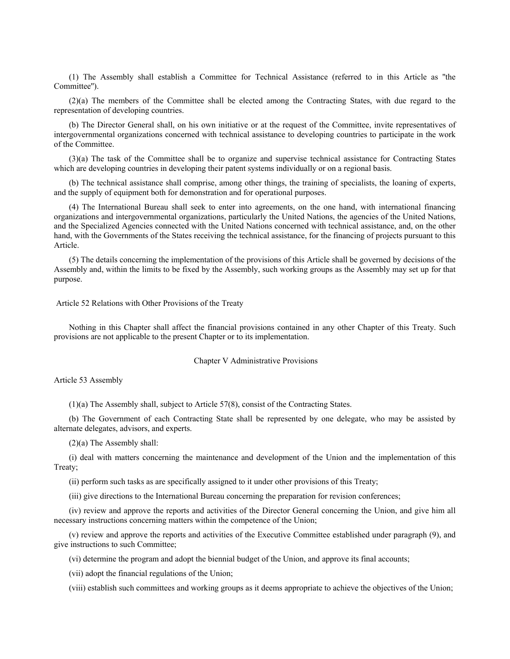(1) The Assembly shall establish a Committee for Technical Assistance (referred to in this Article as ''the Committee'').

(2)(a) The members of the Committee shall be elected among the Contracting States, with due regard to the representation of developing countries.

(b) The Director General shall, on his own initiative or at the request of the Committee, invite representatives of intergovernmental organizations concerned with technical assistance to developing countries to participate in the work of the Committee.

(3)(a) The task of the Committee shall be to organize and supervise technical assistance for Contracting States which are developing countries in developing their patent systems individually or on a regional basis.

(b) The technical assistance shall comprise, among other things, the training of specialists, the loaning of experts, and the supply of equipment both for demonstration and for operational purposes.

(4) The International Bureau shall seek to enter into agreements, on the one hand, with international financing organizations and intergovernmental organizations, particularly the United Nations, the agencies of the United Nations, and the Specialized Agencies connected with the United Nations concerned with technical assistance, and, on the other hand, with the Governments of the States receiving the technical assistance, for the financing of projects pursuant to this Article.

(5) The details concerning the implementation of the provisions of this Article shall be governed by decisions of the Assembly and, within the limits to be fixed by the Assembly, such working groups as the Assembly may set up for that purpose.

Article 52 Relations with Other Provisions of the Treaty

Nothing in this Chapter shall affect the financial provisions contained in any other Chapter of this Treaty. Such provisions are not applicable to the present Chapter or to its implementation.

# Chapter V Administrative Provisions

Article 53 Assembly

(1)(a) The Assembly shall, subject to Article 57(8), consist of the Contracting States.

(b) The Government of each Contracting State shall be represented by one delegate, who may be assisted by alternate delegates, advisors, and experts.

(2)(a) The Assembly shall:

(i) deal with matters concerning the maintenance and development of the Union and the implementation of this Treaty;

(ii) perform such tasks as are specifically assigned to it under other provisions of this Treaty;

(iii) give directions to the International Bureau concerning the preparation for revision conferences;

(iv) review and approve the reports and activities of the Director General concerning the Union, and give him all necessary instructions concerning matters within the competence of the Union;

(v) review and approve the reports and activities of the Executive Committee established under paragraph (9), and give instructions to such Committee;

(vi) determine the program and adopt the biennial budget of the Union, and approve its final accounts;

(vii) adopt the financial regulations of the Union;

(viii) establish such committees and working groups as it deems appropriate to achieve the objectives of the Union;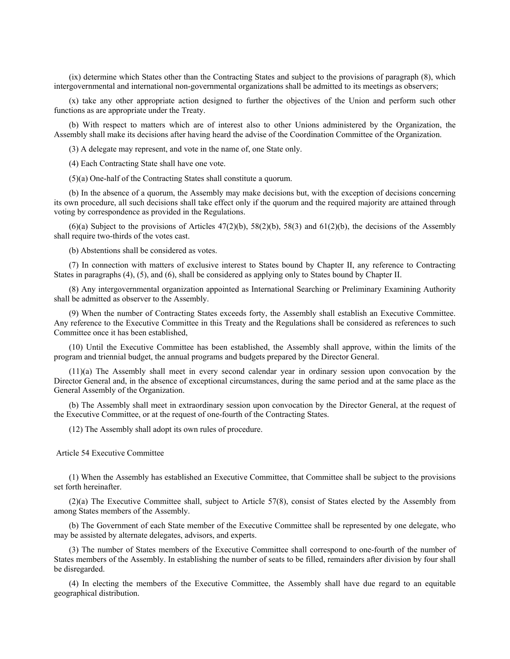(ix) determine which States other than the Contracting States and subject to the provisions of paragraph (8), which intergovernmental and international non-governmental organizations shall be admitted to its meetings as observers;

(x) take any other appropriate action designed to further the objectives of the Union and perform such other functions as are appropriate under the Treaty.

(b) With respect to matters which are of interest also to other Unions administered by the Organization, the Assembly shall make its decisions after having heard the advise of the Coordination Committee of the Organization.

(3) A delegate may represent, and vote in the name of, one State only.

(4) Each Contracting State shall have one vote.

(5)(a) One-half of the Contracting States shall constitute a quorum.

(b) In the absence of a quorum, the Assembly may make decisions but, with the exception of decisions concerning its own procedure, all such decisions shall take effect only if the quorum and the required majority are attained through voting by correspondence as provided in the Regulations.

 $(6)(a)$  Subject to the provisions of Articles  $47(2)(b)$ ,  $58(2)(b)$ ,  $58(3)$  and  $61(2)(b)$ , the decisions of the Assembly shall require two-thirds of the votes cast.

(b) Abstentions shall be considered as votes.

(7) In connection with matters of exclusive interest to States bound by Chapter II, any reference to Contracting States in paragraphs (4), (5), and (6), shall be considered as applying only to States bound by Chapter II.

(8) Any intergovernmental organization appointed as International Searching or Preliminary Examining Authority shall be admitted as observer to the Assembly.

(9) When the number of Contracting States exceeds forty, the Assembly shall establish an Executive Committee. Any reference to the Executive Committee in this Treaty and the Regulations shall be considered as references to such Committee once it has been established,

(10) Until the Executive Committee has been established, the Assembly shall approve, within the limits of the program and triennial budget, the annual programs and budgets prepared by the Director General.

(11)(a) The Assembly shall meet in every second calendar year in ordinary session upon convocation by the Director General and, in the absence of exceptional circumstances, during the same period and at the same place as the General Assembly of the Organization.

(b) The Assembly shall meet in extraordinary session upon convocation by the Director General, at the request of the Executive Committee, or at the request of one-fourth of the Contracting States.

(12) The Assembly shall adopt its own rules of procedure.

Article 54 Executive Committee

(1) When the Assembly has established an Executive Committee, that Committee shall be subject to the provisions set forth hereinafter.

(2)(a) The Executive Committee shall, subject to Article 57(8), consist of States elected by the Assembly from among States members of the Assembly.

(b) The Government of each State member of the Executive Committee shall be represented by one delegate, who may be assisted by alternate delegates, advisors, and experts.

(3) The number of States members of the Executive Committee shall correspond to one-fourth of the number of States members of the Assembly. In establishing the number of seats to be filled, remainders after division by four shall be disregarded.

(4) In electing the members of the Executive Committee, the Assembly shall have due regard to an equitable geographical distribution.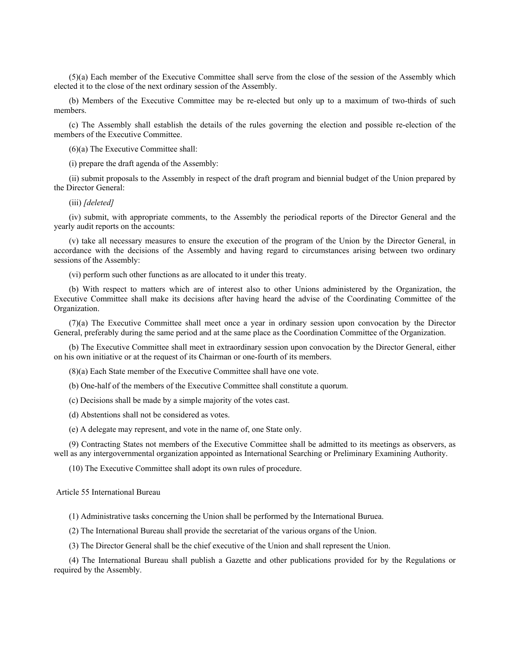(5)(a) Each member of the Executive Committee shall serve from the close of the session of the Assembly which elected it to the close of the next ordinary session of the Assembly.

(b) Members of the Executive Committee may be re-elected but only up to a maximum of two-thirds of such members.

(c) The Assembly shall establish the details of the rules governing the election and possible re-election of the members of the Executive Committee.

(6)(a) The Executive Committee shall:

(i) prepare the draft agenda of the Assembly:

(ii) submit proposals to the Assembly in respect of the draft program and biennial budget of the Union prepared by the Director General:

(iii) *[deleted]*

(iv) submit, with appropriate comments, to the Assembly the periodical reports of the Director General and the yearly audit reports on the accounts:

(v) take all necessary measures to ensure the execution of the program of the Union by the Director General, in accordance with the decisions of the Assembly and having regard to circumstances arising between two ordinary sessions of the Assembly:

(vi) perform such other functions as are allocated to it under this treaty.

(b) With respect to matters which are of interest also to other Unions administered by the Organization, the Executive Committee shall make its decisions after having heard the advise of the Coordinating Committee of the Organization.

(7)(a) The Executive Committee shall meet once a year in ordinary session upon convocation by the Director General, preferably during the same period and at the same place as the Coordination Committee of the Organization.

(b) The Executive Committee shall meet in extraordinary session upon convocation by the Director General, either on his own initiative or at the request of its Chairman or one-fourth of its members.

(8)(a) Each State member of the Executive Committee shall have one vote.

(b) One-half of the members of the Executive Committee shall constitute a quorum.

(c) Decisions shall be made by a simple majority of the votes cast.

(d) Abstentions shall not be considered as votes.

(e) A delegate may represent, and vote in the name of, one State only.

(9) Contracting States not members of the Executive Committee shall be admitted to its meetings as observers, as well as any intergovernmental organization appointed as International Searching or Preliminary Examining Authority.

(10) The Executive Committee shall adopt its own rules of procedure.

Article 55 International Bureau

(1) Administrative tasks concerning the Union shall be performed by the International Buruea.

(2) The International Bureau shall provide the secretariat of the various organs of the Union.

(3) The Director General shall be the chief executive of the Union and shall represent the Union.

(4) The International Bureau shall publish a Gazette and other publications provided for by the Regulations or required by the Assembly.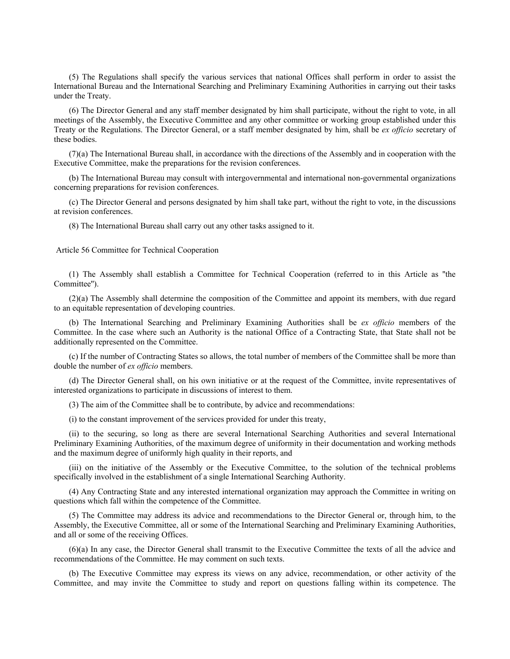(5) The Regulations shall specify the various services that national Offices shall perform in order to assist the International Bureau and the International Searching and Preliminary Examining Authorities in carrying out their tasks under the Treaty.

(6) The Director General and any staff member designated by him shall participate, without the right to vote, in all meetings of the Assembly, the Executive Committee and any other committee or working group established under this Treaty or the Regulations. The Director General, or a staff member designated by him, shall be *ex officio* secretary of these bodies.

(7)(a) The International Bureau shall, in accordance with the directions of the Assembly and in cooperation with the Executive Committee, make the preparations for the revision conferences.

(b) The International Bureau may consult with intergovernmental and international non-governmental organizations concerning preparations for revision conferences.

(c) The Director General and persons designated by him shall take part, without the right to vote, in the discussions at revision conferences.

(8) The International Bureau shall carry out any other tasks assigned to it.

Article 56 Committee for Technical Cooperation

(1) The Assembly shall establish a Committee for Technical Cooperation (referred to in this Article as ''the Committee'').

(2)(a) The Assembly shall determine the composition of the Committee and appoint its members, with due regard to an equitable representation of developing countries.

(b) The International Searching and Preliminary Examining Authorities shall be *ex officio* members of the Committee. In the case where such an Authority is the national Office of a Contracting State, that State shall not be additionally represented on the Committee.

(c) If the number of Contracting States so allows, the total number of members of the Committee shall be more than double the number of *ex officio* members.

(d) The Director General shall, on his own initiative or at the request of the Committee, invite representatives of interested organizations to participate in discussions of interest to them.

(3) The aim of the Committee shall be to contribute, by advice and recommendations:

(i) to the constant improvement of the services provided for under this treaty,

(ii) to the securing, so long as there are several International Searching Authorities and several International Preliminary Examining Authorities, of the maximum degree of uniformity in their documentation and working methods and the maximum degree of uniformly high quality in their reports, and

(iii) on the initiative of the Assembly or the Executive Committee, to the solution of the technical problems specifically involved in the establishment of a single International Searching Authority.

(4) Any Contracting State and any interested international organization may approach the Committee in writing on questions which fall within the competence of the Committee.

(5) The Committee may address its advice and recommendations to the Director General or, through him, to the Assembly, the Executive Committee, all or some of the International Searching and Preliminary Examining Authorities, and all or some of the receiving Offices.

(6)(a) In any case, the Director General shall transmit to the Executive Committee the texts of all the advice and recommendations of the Committee. He may comment on such texts.

(b) The Executive Committee may express its views on any advice, recommendation, or other activity of the Committee, and may invite the Committee to study and report on questions falling within its competence. The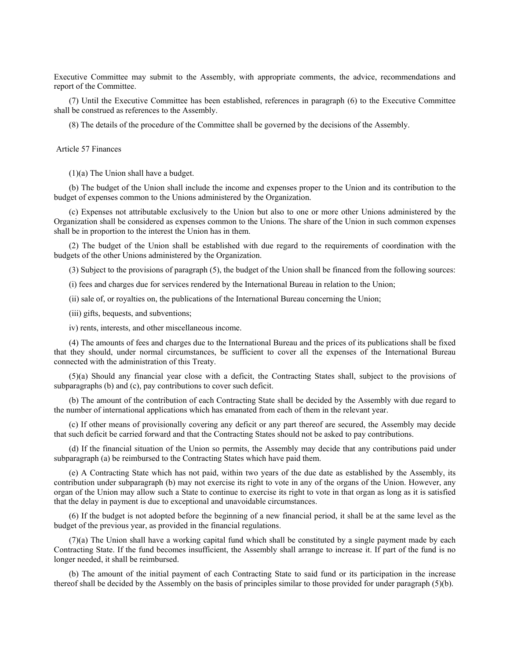Executive Committee may submit to the Assembly, with appropriate comments, the advice, recommendations and report of the Committee.

(7) Until the Executive Committee has been established, references in paragraph (6) to the Executive Committee shall be construed as references to the Assembly.

(8) The details of the procedure of the Committee shall be governed by the decisions of the Assembly.

Article 57 Finances

(1)(a) The Union shall have a budget.

(b) The budget of the Union shall include the income and expenses proper to the Union and its contribution to the budget of expenses common to the Unions administered by the Organization.

(c) Expenses not attributable exclusively to the Union but also to one or more other Unions administered by the Organization shall be considered as expenses common to the Unions. The share of the Union in such common expenses shall be in proportion to the interest the Union has in them.

(2) The budget of the Union shall be established with due regard to the requirements of coordination with the budgets of the other Unions administered by the Organization.

(3) Subject to the provisions of paragraph (5), the budget of the Union shall be financed from the following sources:

(i) fees and charges due for services rendered by the International Bureau in relation to the Union;

(ii) sale of, or royalties on, the publications of the International Bureau concerning the Union;

(iii) gifts, bequests, and subventions;

iv) rents, interests, and other miscellaneous income.

(4) The amounts of fees and charges due to the International Bureau and the prices of its publications shall be fixed that they should, under normal circumstances, be sufficient to cover all the expenses of the International Bureau connected with the administration of this Treaty.

(5)(a) Should any financial year close with a deficit, the Contracting States shall, subject to the provisions of subparagraphs (b) and (c), pay contributions to cover such deficit.

(b) The amount of the contribution of each Contracting State shall be decided by the Assembly with due regard to the number of international applications which has emanated from each of them in the relevant year.

(c) If other means of provisionally covering any deficit or any part thereof are secured, the Assembly may decide that such deficit be carried forward and that the Contracting States should not be asked to pay contributions.

(d) If the financial situation of the Union so permits, the Assembly may decide that any contributions paid under subparagraph (a) be reimbursed to the Contracting States which have paid them.

(e) A Contracting State which has not paid, within two years of the due date as established by the Assembly, its contribution under subparagraph (b) may not exercise its right to vote in any of the organs of the Union. However, any organ of the Union may allow such a State to continue to exercise its right to vote in that organ as long as it is satisfied that the delay in payment is due to exceptional and unavoidable circumstances.

(6) If the budget is not adopted before the beginning of a new financial period, it shall be at the same level as the budget of the previous year, as provided in the financial regulations.

(7)(a) The Union shall have a working capital fund which shall be constituted by a single payment made by each Contracting State. If the fund becomes insufficient, the Assembly shall arrange to increase it. If part of the fund is no longer needed, it shall be reimbursed.

(b) The amount of the initial payment of each Contracting State to said fund or its participation in the increase thereof shall be decided by the Assembly on the basis of principles similar to those provided for under paragraph (5)(b).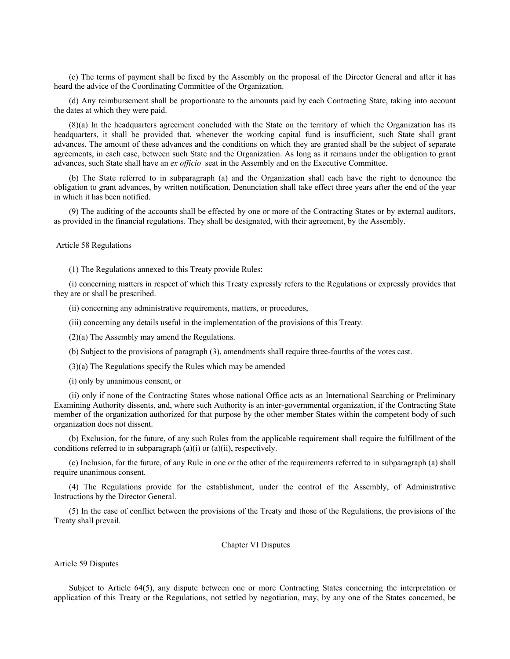(c) The terms of payment shall be fixed by the Assembly on the proposal of the Director General and after it has heard the advice of the Coordinating Committee of the Organization.

(d) Any reimbursement shall be proportionate to the amounts paid by each Contracting State, taking into account the dates at which they were paid.

(8)(a) In the headquarters agreement concluded with the State on the territory of which the Organization has its headquarters, it shall be provided that, whenever the working capital fund is insufficient, such State shall grant advances. The amount of these advances and the conditions on which they are granted shall be the subject of separate agreements, in each case, between such State and the Organization. As long as it remains under the obligation to grant advances, such State shall have an *ex officio* seat in the Assembly and on the Executive Committee.

(b) The State referred to in subparagraph (a) and the Organization shall each have the right to denounce the obligation to grant advances, by written notification. Denunciation shall take effect three years after the end of the year in which it has been notified.

(9) The auditing of the accounts shall be effected by one or more of the Contracting States or by external auditors, as provided in the financial regulations. They shall be designated, with their agreement, by the Assembly.

Article 58 Regulations

(1) The Regulations annexed to this Treaty provide Rules:

(i) concerning matters in respect of which this Treaty expressly refers to the Regulations or expressly provides that they are or shall be prescribed.

(ii) concerning any administrative requirements, matters, or procedures,

(iii) concerning any details useful in the implementation of the provisions of this Treaty.

(2)(a) The Assembly may amend the Regulations.

(b) Subject to the provisions of paragraph (3), amendments shall require three-fourths of the votes cast.

(3)(a) The Regulations specify the Rules which may be amended

(i) only by unanimous consent, or

(ii) only if none of the Contracting States whose national Office acts as an International Searching or Preliminary Examining Authority dissents, and, where such Authority is an inter-governmental organization, if the Contracting State member of the organization authorized for that purpose by the other member States within the competent body of such organization does not dissent.

(b) Exclusion, for the future, of any such Rules from the applicable requirement shall require the fulfillment of the conditions referred to in subparagraph (a)(i) or (a)(ii), respectively.

(c) Inclusion, for the future, of any Rule in one or the other of the requirements referred to in subparagraph (a) shall require unanimous consent.

(4) The Regulations provide for the establishment, under the control of the Assembly, of Administrative Instructions by the Director General.

(5) In the case of conflict between the provisions of the Treaty and those of the Regulations, the provisions of the Treaty shall prevail.

## Chapter VI Disputes

Article 59 Disputes

Subject to Article 64(5), any dispute between one or more Contracting States concerning the interpretation or application of this Treaty or the Regulations, not settled by negotiation, may, by any one of the States concerned, be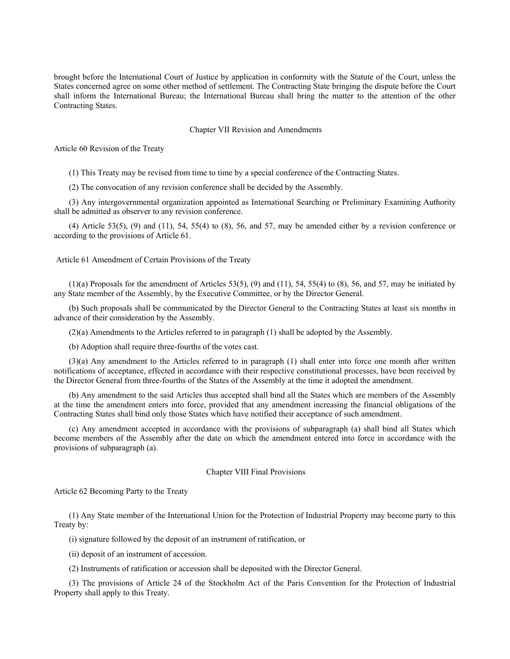brought before the International Court of Justice by application in conformity with the Statute of the Court, unless the States concerned agree on some other method of settlement. The Contracting State bringing the dispute before the Court shall inform the International Bureau; the International Bureau shall bring the matter to the attention of the other Contracting States.

## Chapter VII Revision and Amendments

Article 60 Revision of the Treaty

(1) This Treaty may be revised from time to time by a special conference of the Contracting States.

(2) The convocation of any revision conference shall be decided by the Assembly.

(3) Any intergovernmental organization appointed as International Searching or Preliminary Examining Authority shall be admitted as observer to any revision conference.

(4) Article 53(5), (9) and (11), 54, 55(4) to (8), 56, and 57, may be amended either by a revision conference or according to the provisions of Article 61.

Article 61 Amendment of Certain Provisions of the Treaty

 $(1)(a)$  Proposals for the amendment of Articles 53(5), (9) and (11), 54, 55(4) to (8), 56, and 57, may be initiated by any State member of the Assembly, by the Executive Committee, or by the Director General.

(b) Such proposals shall be communicated by the Director General to the Contracting States at least six months in advance of their consideration by the Assembly.

(2)(a) Amendments to the Articles referred to in paragraph (1) shall be adopted by the Assembly.

(b) Adoption shall require three-fourths of the votes cast.

(3)(a) Any amendment to the Articles referred to in paragraph (1) shall enter into force one month after written notifications of acceptance, effected in accordance with their respective constitutional processes, have been received by the Director General from three-fourths of the States of the Assembly at the time it adopted the amendment.

(b) Any amendment to the said Articles thus accepted shall bind all the States which are members of the Assembly at the time the amendment enters into force, provided that any amendment increasing the financial obligations of the Contracting States shall bind only those States which have notified their acceptance of such amendment.

(c) Any amendment accepted in accordance with the provisions of subparagraph (a) shall bind all States which become members of the Assembly after the date on which the amendment entered into force in accordance with the provisions of subparagraph (a).

## Chapter VIII Final Provisions

Article 62 Becoming Party to the Treaty

(1) Any State member of the International Union for the Protection of Industrial Property may become party to this Treaty by:

(i) signature followed by the deposit of an instrument of ratification, or

(ii) deposit of an instrument of accession.

(2) Instruments of ratification or accession shall be deposited with the Director General.

(3) The provisions of Article 24 of the Stockholm Act of the Paris Convention for the Protection of Industrial Property shall apply to this Treaty.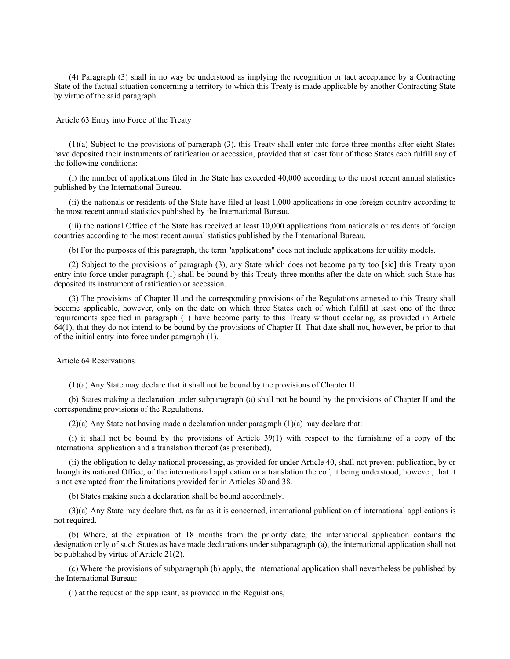(4) Paragraph (3) shall in no way be understood as implying the recognition or tact acceptance by a Contracting State of the factual situation concerning a territory to which this Treaty is made applicable by another Contracting State by virtue of the said paragraph.

Article 63 Entry into Force of the Treaty

(1)(a) Subject to the provisions of paragraph (3), this Treaty shall enter into force three months after eight States have deposited their instruments of ratification or accession, provided that at least four of those States each fulfill any of the following conditions:

(i) the number of applications filed in the State has exceeded 40,000 according to the most recent annual statistics published by the International Bureau.

(ii) the nationals or residents of the State have filed at least 1,000 applications in one foreign country according to the most recent annual statistics published by the International Bureau.

(iii) the national Office of the State has received at least 10,000 applications from nationals or residents of foreign countries according to the most recent annual statistics published by the International Bureau.

(b) For the purposes of this paragraph, the term ''applications'' does not include applications for utility models.

(2) Subject to the provisions of paragraph (3), any State which does not become party too [sic] this Treaty upon entry into force under paragraph (1) shall be bound by this Treaty three months after the date on which such State has deposited its instrument of ratification or accession.

(3) The provisions of Chapter II and the corresponding provisions of the Regulations annexed to this Treaty shall become applicable, however, only on the date on which three States each of which fulfill at least one of the three requirements specified in paragraph (1) have become party to this Treaty without declaring, as provided in Article 64(1), that they do not intend to be bound by the provisions of Chapter II. That date shall not, however, be prior to that of the initial entry into force under paragraph (1).

Article 64 Reservations

(1)(a) Any State may declare that it shall not be bound by the provisions of Chapter II.

(b) States making a declaration under subparagraph (a) shall not be bound by the provisions of Chapter II and the corresponding provisions of the Regulations.

 $(2)(a)$  Any State not having made a declaration under paragraph  $(1)(a)$  may declare that:

(i) it shall not be bound by the provisions of Article 39(1) with respect to the furnishing of a copy of the international application and a translation thereof (as prescribed),

(ii) the obligation to delay national processing, as provided for under Article 40, shall not prevent publication, by or through its national Office, of the international application or a translation thereof, it being understood, however, that it is not exempted from the limitations provided for in Articles 30 and 38.

(b) States making such a declaration shall be bound accordingly.

(3)(a) Any State may declare that, as far as it is concerned, international publication of international applications is not required.

(b) Where, at the expiration of 18 months from the priority date, the international application contains the designation only of such States as have made declarations under subparagraph (a), the international application shall not be published by virtue of Article 21(2).

(c) Where the provisions of subparagraph (b) apply, the international application shall nevertheless be published by the International Bureau:

(i) at the request of the applicant, as provided in the Regulations,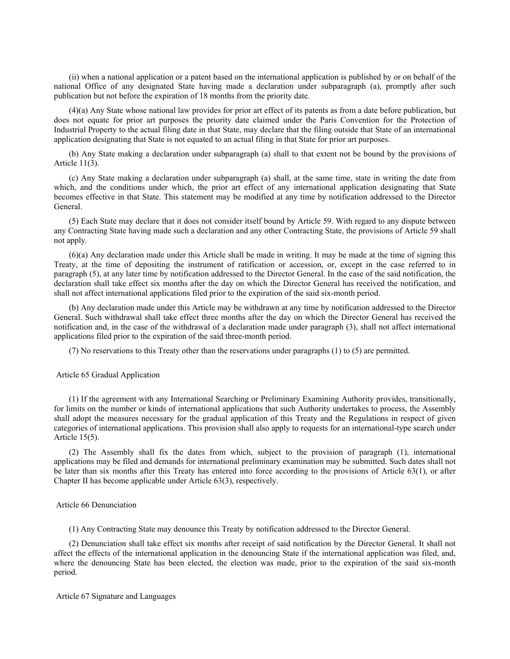(ii) when a national application or a patent based on the international application is published by or on behalf of the national Office of any designated State having made a declaration under subparagraph (a), promptly after such publication but not before the expiration of 18 months from the priority date.

(4)(a) Any State whose national law provides for prior art effect of its patents as from a date before publication, but does not equate for prior art purposes the priority date claimed under the Paris Convention for the Protection of Industrial Property to the actual filing date in that State, may declare that the filing outside that State of an international application designating that State is not equated to an actual filing in that State for prior art purposes.

(b) Any State making a declaration under subparagraph (a) shall to that extent not be bound by the provisions of Article 11(3).

(c) Any State making a declaration under subparagraph (a) shall, at the same time, state in writing the date from which, and the conditions under which, the prior art effect of any international application designating that State becomes effective in that State. This statement may be modified at any time by notification addressed to the Director General.

(5) Each State may declare that it does not consider itself bound by Article 59. With regard to any dispute between any Contracting State having made such a declaration and any other Contracting State, the provisions of Article 59 shall not apply.

(6)(a) Any declaration made under this Article shall be made in writing. It may be made at the time of signing this Treaty, at the time of depositing the instrument of ratification or accession, or, except in the case referred to in paragraph (5), at any later time by notification addressed to the Director General. In the case of the said notification, the declaration shall take effect six months after the day on which the Director General has received the notification, and shall not affect international applications filed prior to the expiration of the said six-month period.

(b) Any declaration made under this Article may be withdrawn at any time by notification addressed to the Director General. Such withdrawal shall take effect three months after the day on which the Director General has received the notification and, in the case of the withdrawal of a declaration made under paragraph (3), shall not affect international applications filed prior to the expiration of the said three-month period.

(7) No reservations to this Treaty other than the reservations under paragraphs (1) to (5) are permitted.

Article 65 Gradual Application

(1) If the agreement with any International Searching or Preliminary Examining Authority provides, transitionally, for limits on the number or kinds of international applications that such Authority undertakes to process, the Assembly shall adopt the measures necessary for the gradual application of this Treaty and the Regulations in respect of given categories of international applications. This provision shall also apply to requests for an international-type search under Article 15(5).

(2) The Assembly shall fix the dates from which, subject to the provision of paragraph (1), international applications may be filed and demands for international preliminary examination may be submitted. Such dates shall not be later than six months after this Treaty has entered into force according to the provisions of Article 63(1), or after Chapter II has become applicable under Article 63(3), respectively.

#### Article 66 Denunciation

(1) Any Contracting State may denounce this Treaty by notification addressed to the Director General.

(2) Denunciation shall take effect six months after receipt of said notification by the Director General. It shall not affect the effects of the international application in the denouncing State if the international application was filed, and, where the denouncing State has been elected, the election was made, prior to the expiration of the said six-month period.

Article 67 Signature and Languages